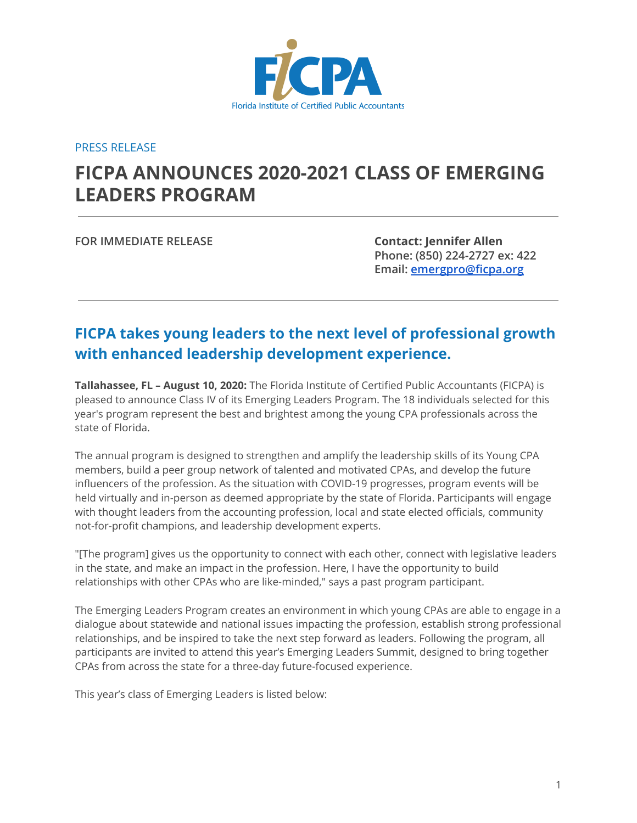

PRESS RELEASE

## **FICPA ANNOUNCES 2020-2021 CLASS OF EMERGING LEADERS PROGRAM**

**FOR IMMEDIATE RELEASE Contact: Jennifer Allen**

**Phone: (850) 224-2727 ex: 422 Email: [emergpro@ficpa.org](mailto:emergpro@ficpa.org)**

## **FICPA takes young leaders to the next level of professional growth with enhanced leadership development experience.**

**Tallahassee, FL – August 10, 2020:** The Florida Institute of Certified Public Accountants (FICPA) is pleased to announce Class IV of its Emerging Leaders Program. The 18 individuals selected for this year's program represent the best and brightest among the young CPA professionals across the state of Florida.

The annual program is designed to strengthen and amplify the leadership skills of its Young CPA members, build a peer group network of talented and motivated CPAs, and develop the future influencers of the profession. As the situation with COVID-19 progresses, program events will be held virtually and in-person as deemed appropriate by the state of Florida. Participants will engage with thought leaders from the accounting profession, local and state elected officials, community not-for-profit champions, and leadership development experts.

"[The program] gives us the opportunity to connect with each other, connect with legislative leaders in the state, and make an impact in the profession. Here, I have the opportunity to build relationships with other CPAs who are like-minded," says a past program participant.

The Emerging Leaders Program creates an environment in which young CPAs are able to engage in a dialogue about statewide and national issues impacting the profession, establish strong professional relationships, and be inspired to take the next step forward as leaders. Following the program, all participants are invited to attend this year's Emerging Leaders Summit, designed to bring together CPAs from across the state for a three-day future-focused experience.

This year's class of Emerging Leaders is listed below: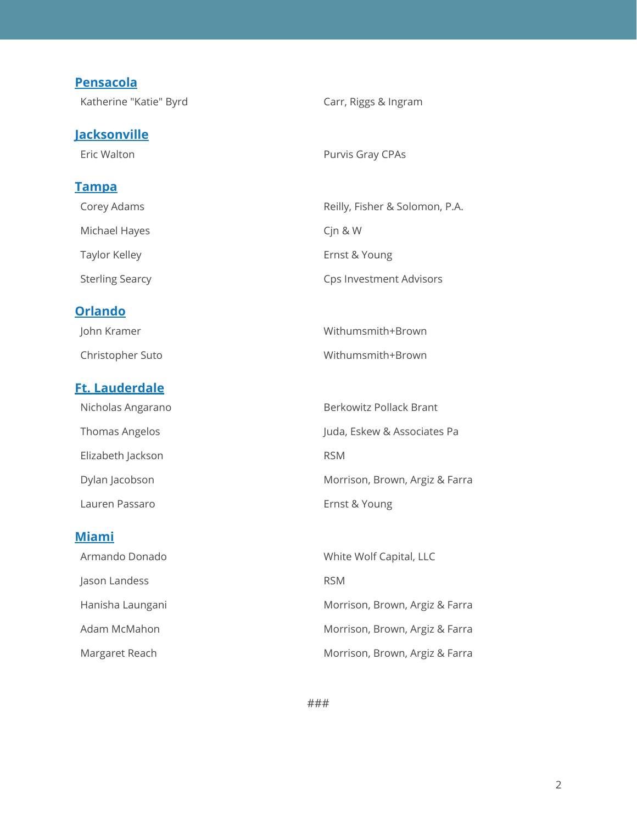## **Pensacola** Katherine "Katie" Byrd Carr, Riggs & Ingram **Jacksonville** Eric Walton **Purvis Gray CPAs Tampa** Corey Adams **Reilly, Fisher & Solomon, P.A.** Michael Hayes **Canadia Execute Community** Cjn & W Taylor Kelley **Example 2018** Ernst & Young Sterling Searcy **Case Investment Advisors** Cps Investment Advisors **Orlando** John Kramer National Communication of the Withumsmith+Brown Christopher Suto Withumsmith+Brown **Ft. Lauderdale** Nicholas Angarano **Berkowitz Pollack Brant** Thomas Angelos **Angelos** Juda, Eskew & Associates Pa Elizabeth Jackson **RSM**

Dylan Jacobson Morrison, Brown, Argiz & Farra Lauren Passaro **Ernst & Young** 

| <b>Miami</b>     |                                |
|------------------|--------------------------------|
| Armando Donado   | White Wolf Capital, LLC        |
| Jason Landess    | <b>RSM</b>                     |
| Hanisha Laungani | Morrison, Brown, Argiz & Farra |
| Adam McMahon     | Morrison, Brown, Argiz & Farra |
| Margaret Reach   | Morrison, Brown, Argiz & Farra |

###